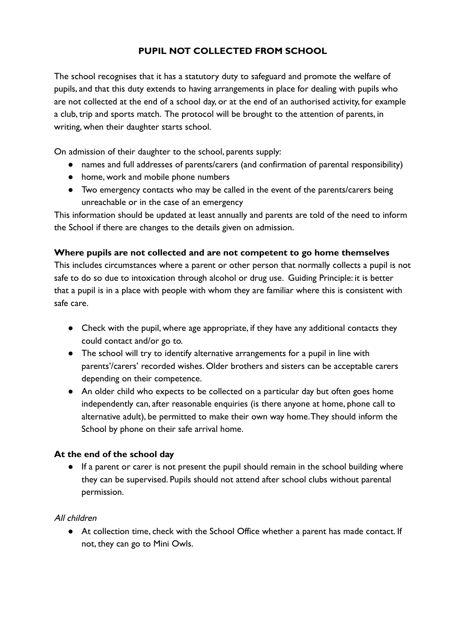# **PUPIL NOT COLLECTED FROM SCHOOL**

The school recognises that it has a statutory duty to safeguard and promote the welfare of pupils, and that this duty extends to having arrangements in place for dealing with pupils who are not collected at the end of a school day, or at the end of an authorised activity, for example a club, trip and sports match. The protocol will be brought to the attention of parents, in writing, when their daughter starts school.

On admission of their daughter to the school, parents supply:

- names and full addresses of parents/carers (and confirmation of parental responsibility)
- home, work and mobile phone numbers
- Two emergency contacts who may be called in the event of the parents/carers being unreachable or in the case of an emergency

This information should be updated at least annually and parents are told of the need to inform the School if there are changes to the details given on admission.

#### **Where pupils are not collected and are not competent to go home themselves**

This includes circumstances where a parent or other person that normally collects a pupil is not safe to do so due to intoxication through alcohol or drug use. Guiding Principle: it is better that a pupil is in a place with people with whom they are familiar where this is consistent with safe care.

- Check with the pupil, where age appropriate, if they have any additional contacts they could contact and/or go to.
- The school will try to identify alternative arrangements for a pupil in line with parents'/carers' recorded wishes. Older brothers and sisters can be acceptable carers depending on their competence.
- An older child who expects to be collected on a particular day but often goes home independently can, after reasonable enquiries (is there anyone at home, phone call to alternative adult), be permitted to make their own way home.They should inform the School by phone on their safe arrival home.

#### **At the end of the school day**

● If a parent or carer is not present the pupil should remain in the school building where they can be supervised. Pupils should not attend after school clubs without parental permission.

#### All children

● At collection time, check with the School Office whether a parent has made contact. If not, they can go to Mini Owls.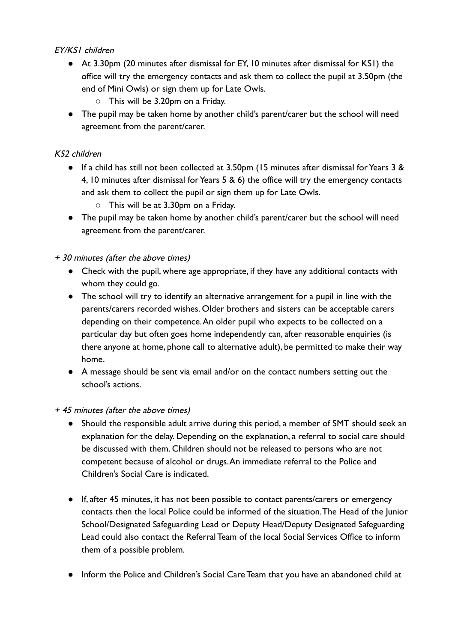## EY/KS1 children

- At 3.30pm (20 minutes after dismissal for EY, 10 minutes after dismissal for KS1) the office will try the emergency contacts and ask them to collect the pupil at 3.50pm (the end of Mini Owls) or sign them up for Late Owls.
	- This will be 3.20pm on a Friday.
- The pupil may be taken home by another child's parent/carer but the school will need agreement from the parent/carer.

# KS2 children

- If a child has still not been collected at 3.50pm (15 minutes after dismissal for Years 3 & 4, 10 minutes after dismissal for Years 5 & 6) the office will try the emergency contacts and ask them to collect the pupil or sign them up for Late Owls.
	- This will be at 3.30pm on a Friday.
- The pupil may be taken home by another child's parent/carer but the school will need agreement from the parent/carer.

### + 30 minutes (after the above times)

- Check with the pupil, where age appropriate, if they have any additional contacts with whom they could go.
- The school will try to identify an alternative arrangement for a pupil in line with the parents/carers recorded wishes. Older brothers and sisters can be acceptable carers depending on their competence.An older pupil who expects to be collected on a particular day but often goes home independently can, after reasonable enquiries (is there anyone at home, phone call to alternative adult), be permitted to make their way home.
- A message should be sent via email and/or on the contact numbers setting out the school's actions.
- + 45 minutes (after the above times)
	- Should the responsible adult arrive during this period, a member of SMT should seek an explanation for the delay. Depending on the explanation, a referral to social care should be discussed with them. Children should not be released to persons who are not competent because of alcohol or drugs.An immediate referral to the Police and Children's Social Care is indicated.
	- If, after 45 minutes, it has not been possible to contact parents/carers or emergency contacts then the local Police could be informed of the situation.The Head of the Junior School/Designated Safeguarding Lead or Deputy Head/Deputy Designated Safeguarding Lead could also contact the Referral Team of the local Social Services Office to inform them of a possible problem.
	- Inform the Police and Children's Social Care Team that you have an abandoned child at